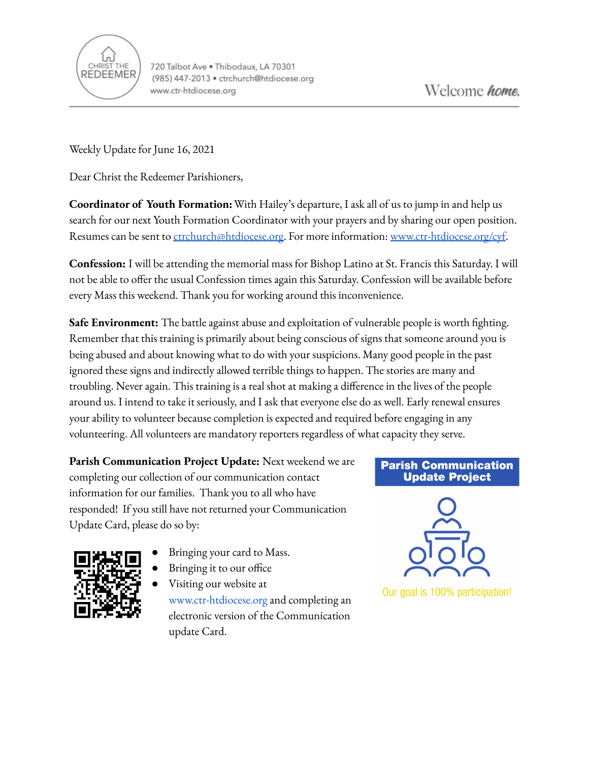

Weekly Update for June 16, 2021

Dear Christ the Redeemer Parishioners,

**Coordinator of Youth Formation:**With Hailey's departure, I ask all of us to jump in and help us search for our next Youth Formation Coordinator with your prayers and by sharing our open position. Resumes can be sent to [ctrchurch@htdiocese.org.](mailto:ctrchurch@htdiocese.org) For more information: [www.ctr-htdiocese.org/cyf.](http://www.ctr-htdiocese.org/cyf)

**Confession:** I will be attending the memorial mass for Bishop Latino at St. Francis this Saturday. I will not be able to offer the usual Confession times again this Saturday. Confession will be available before every Mass this weekend. Thank you for working around this inconvenience.

**Safe Environment:** The battle against abuse and exploitation of vulnerable people is worth fighting. Remember that this training is primarily about being conscious of signs that someone around you is being abused and about knowing what to do with your suspicions. Many good people in the past ignored these signs and indirectly allowed terrible things to happen. The stories are many and troubling. Never again. This training is a real shot at making a difference in the lives of the people around us. I intend to take it seriously, and I ask that everyone else do as well. Early renewal ensures your ability to volunteer because completion is expected and required before engaging in any volunteering. All volunteers are mandatory reporters regardless of what capacity they serve.

**Parish Communication Project Update:** Next weekend we are completing our collection of our communication contact information for our families. Thank you to all who have responded! If you still have not returned your Communication Update Card, please do so by:



- Bringing your card to Mass.
- Bringing it to our office
	- Visi[t](http://www.church.org)ing our website at [www.ctr-htdiocese.org](http://www.ctr-htdiocese.org) and completing an electronic version of the Communication update Card.

## **Parish Communication Update Project**



Our goal is 100% participation!